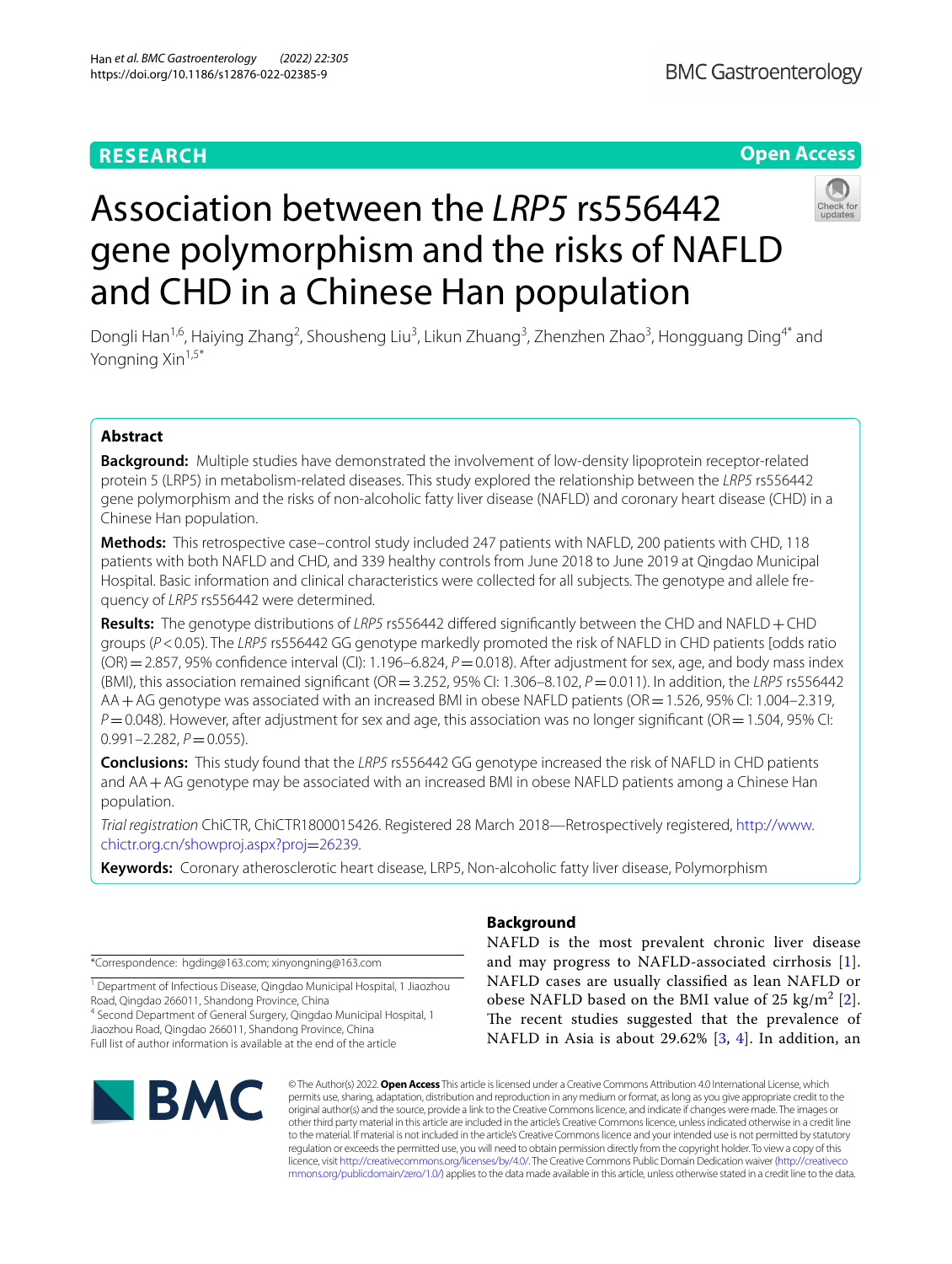### **RESEARCH**

#### **Open Access**

## Association between the *LRP5* rs556442 gene polymorphism and the risks of NAFLD and CHD in a Chinese Han population

Dongli Han<sup>1,6</sup>, Haiying Zhang<sup>2</sup>, Shousheng Liu<sup>3</sup>, Likun Zhuang<sup>3</sup>, Zhenzhen Zhao<sup>3</sup>, Hongguang Ding<sup>4\*</sup> and Yongning Xin<sup>1,5\*</sup>

#### **Abstract**

**Background:** Multiple studies have demonstrated the involvement of low-density lipoprotein receptor-related protein 5 (LRP5) in metabolism-related diseases. This study explored the relationship between the *LRP5* rs556442 gene polymorphism and the risks of non-alcoholic fatty liver disease (NAFLD) and coronary heart disease (CHD) in a Chinese Han population.

**Methods:** This retrospective case–control study included 247 patients with NAFLD, 200 patients with CHD, 118 patients with both NAFLD and CHD, and 339 healthy controls from June 2018 to June 2019 at Qingdao Municipal Hospital. Basic information and clinical characteristics were collected for all subjects. The genotype and allele frequency of *LRP5* rs556442 were determined.

**Results:** The genotype distributions of *LRP5* rs556442 difered signifcantly between the CHD and NAFLD+CHD groups (*P*<0.05). The *LRP5* rs556442 GG genotype markedly promoted the risk of NAFLD in CHD patients [odds ratio (OR) = 2.857, 95% confidence interval (CI): 1.196–6.824, *P* = 0.018). After adjustment for sex, age, and body mass index (BMI), this association remained signifcant (OR=3.252, 95% CI: 1.306–8.102, *P*=0.011). In addition, the *LRP5* rs556442 AA + AG genotype was associated with an increased BMI in obese NAFLD patients (OR = 1.526, 95% CI: 1.004–2.319, *P*=0.048). However, after adjustment for sex and age, this association was no longer significant (OR=1.504, 95% CI:  $0.991 - 2.282$ ,  $P = 0.055$ ).

**Conclusions:** This study found that the *LRP5* rs556442 GG genotype increased the risk of NAFLD in CHD patients and AA+AG genotype may be associated with an increased BMI in obese NAFLD patients among a Chinese Han population.

*Trial registration* ChiCTR, ChiCTR1800015426. Registered 28 March 2018—Retrospectively registered, [http://www.](http://www.chictr.org.cn/showproj.aspx?proj=26239) [chictr.org.cn/showproj.aspx?proj](http://www.chictr.org.cn/showproj.aspx?proj=26239)=26239.

**Keywords:** Coronary atherosclerotic heart disease, LRP5, Non-alcoholic fatty liver disease, Polymorphism

\*Correspondence: hgding@163.com; xinyongning@163.com

<sup>1</sup> Department of Infectious Disease, Qingdao Municipal Hospital, 1 Jiaozhou Road, Qingdao 266011, Shandong Province, China

4 Second Department of General Surgery, Qingdao Municipal Hospital, 1 Jiaozhou Road, Qingdao 266011, Shandong Province, China Full list of author information is available at the end of the article

# **BMC**

#### **Background**

NAFLD is the most prevalent chronic liver disease and may progress to NAFLD-associated cirrhosis [[1](#page-7-0)]. NAFLD cases are usually classifed as lean NAFLD or obese NAFLD based on the BMI value of [2](#page-7-1)5 kg/m<sup>2</sup> [2]. The recent studies suggested that the prevalence of NAFLD in Asia is about 29.62% [[3,](#page-7-2) [4\]](#page-7-3). In addition, an

© The Author(s) 2022. **Open Access** This article is licensed under a Creative Commons Attribution 4.0 International License, which permits use, sharing, adaptation, distribution and reproduction in any medium or format, as long as you give appropriate credit to the original author(s) and the source, provide a link to the Creative Commons licence, and indicate if changes were made. The images or other third party material in this article are included in the article's Creative Commons licence, unless indicated otherwise in a credit line to the material. If material is not included in the article's Creative Commons licence and your intended use is not permitted by statutory regulation or exceeds the permitted use, you will need to obtain permission directly from the copyright holder. To view a copy of this licence, visit [http://creativecommons.org/licenses/by/4.0/.](http://creativecommons.org/licenses/by/4.0/) The Creative Commons Public Domain Dedication waiver ([http://creativeco](http://creativecommons.org/publicdomain/zero/1.0/) [mmons.org/publicdomain/zero/1.0/](http://creativecommons.org/publicdomain/zero/1.0/)) applies to the data made available in this article, unless otherwise stated in a credit line to the data.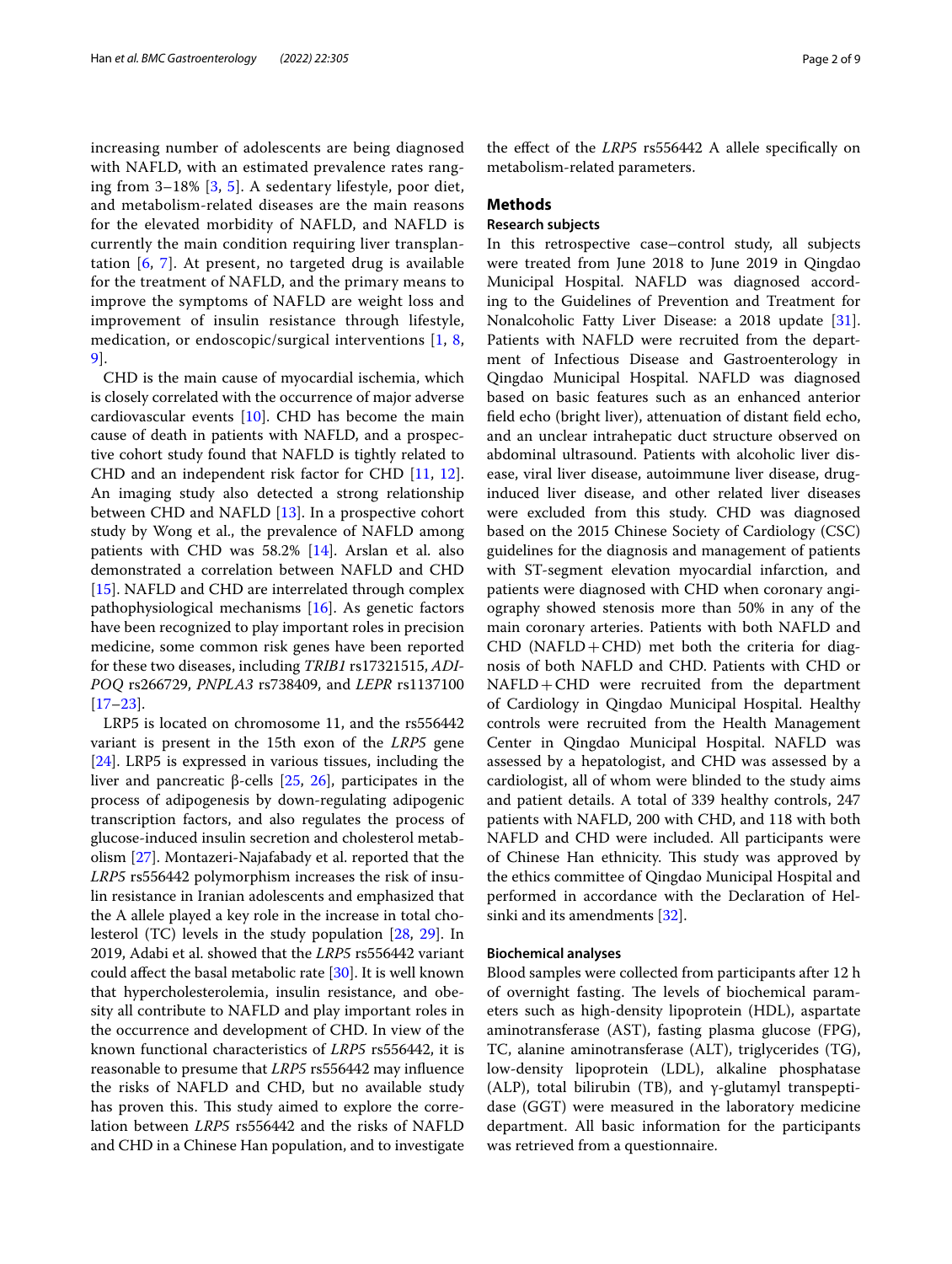increasing number of adolescents are being diagnosed with NAFLD, with an estimated prevalence rates ranging from 3–18% [[3,](#page-7-2) [5](#page-7-4)]. A sedentary lifestyle, poor diet, and metabolism-related diseases are the main reasons for the elevated morbidity of NAFLD, and NAFLD is currently the main condition requiring liver transplantation [[6,](#page-7-5) [7](#page-7-6)]. At present, no targeted drug is available for the treatment of NAFLD, and the primary means to improve the symptoms of NAFLD are weight loss and improvement of insulin resistance through lifestyle, medication, or endoscopic/surgical interventions [[1,](#page-7-0) [8](#page-7-7), [9\]](#page-7-8).

CHD is the main cause of myocardial ischemia, which is closely correlated with the occurrence of major adverse cardiovascular events [[10](#page-7-9)]. CHD has become the main cause of death in patients with NAFLD, and a prospective cohort study found that NAFLD is tightly related to CHD and an independent risk factor for CHD [[11](#page-7-10), [12](#page-7-11)]. An imaging study also detected a strong relationship between CHD and NAFLD [[13\]](#page-7-12). In a prospective cohort study by Wong et al., the prevalence of NAFLD among patients with CHD was 58.2% [[14\]](#page-7-13). Arslan et al. also demonstrated a correlation between NAFLD and CHD [[15\]](#page-7-14). NAFLD and CHD are interrelated through complex pathophysiological mechanisms [\[16](#page-7-15)]. As genetic factors have been recognized to play important roles in precision medicine, some common risk genes have been reported for these two diseases, including *TRIB1* rs17321515, *ADI-POQ* rs266729, *PNPLA3* rs738409, and *LEPR* rs1137100 [[17–](#page-7-16)[23](#page-7-17)].

LRP5 is located on chromosome 11, and the rs556442 variant is present in the 15th exon of the *LRP5* gene [[24\]](#page-7-18). LRP5 is expressed in various tissues, including the liver and pancreatic β-cells [\[25](#page-8-0), [26](#page-8-1)], participates in the process of adipogenesis by down-regulating adipogenic transcription factors, and also regulates the process of glucose-induced insulin secretion and cholesterol metabolism [\[27\]](#page-8-2). Montazeri-Najafabady et al. reported that the *LRP5* rs556442 polymorphism increases the risk of insulin resistance in Iranian adolescents and emphasized that the A allele played a key role in the increase in total cholesterol (TC) levels in the study population [[28,](#page-8-3) [29\]](#page-8-4). In 2019, Adabi et al. showed that the *LRP5* rs556442 variant could afect the basal metabolic rate [[30\]](#page-8-5). It is well known that hypercholesterolemia, insulin resistance, and obesity all contribute to NAFLD and play important roles in the occurrence and development of CHD. In view of the known functional characteristics of *LRP5* rs556442, it is reasonable to presume that *LRP5* rs556442 may infuence the risks of NAFLD and CHD, but no available study has proven this. This study aimed to explore the correlation between *LRP5* rs556442 and the risks of NAFLD and CHD in a Chinese Han population, and to investigate

the efect of the *LRP5* rs556442 A allele specifcally on metabolism-related parameters.

#### **Methods**

#### **Research subjects**

In this retrospective case–control study, all subjects were treated from June 2018 to June 2019 in Qingdao Municipal Hospital. NAFLD was diagnosed according to the Guidelines of Prevention and Treatment for Nonalcoholic Fatty Liver Disease: a 2018 update [\[31](#page-8-6)]. Patients with NAFLD were recruited from the department of Infectious Disease and Gastroenterology in Qingdao Municipal Hospital. NAFLD was diagnosed based on basic features such as an enhanced anterior feld echo (bright liver), attenuation of distant feld echo, and an unclear intrahepatic duct structure observed on abdominal ultrasound. Patients with alcoholic liver disease, viral liver disease, autoimmune liver disease, druginduced liver disease, and other related liver diseases were excluded from this study. CHD was diagnosed based on the 2015 Chinese Society of Cardiology (CSC) guidelines for the diagnosis and management of patients with ST-segment elevation myocardial infarction, and patients were diagnosed with CHD when coronary angiography showed stenosis more than 50% in any of the main coronary arteries. Patients with both NAFLD and  $CHD$  (NAFLD+CHD) met both the criteria for diagnosis of both NAFLD and CHD. Patients with CHD or  $NAFLD + CHD$  were recruited from the department of Cardiology in Qingdao Municipal Hospital. Healthy controls were recruited from the Health Management Center in Qingdao Municipal Hospital. NAFLD was assessed by a hepatologist, and CHD was assessed by a cardiologist, all of whom were blinded to the study aims and patient details. A total of 339 healthy controls, 247 patients with NAFLD, 200 with CHD, and 118 with both NAFLD and CHD were included. All participants were of Chinese Han ethnicity. This study was approved by the ethics committee of Qingdao Municipal Hospital and performed in accordance with the Declaration of Helsinki and its amendments [[32\]](#page-8-7).

#### **Biochemical analyses**

Blood samples were collected from participants after 12 h of overnight fasting. The levels of biochemical parameters such as high-density lipoprotein (HDL), aspartate aminotransferase (AST), fasting plasma glucose (FPG), TC, alanine aminotransferase (ALT), triglycerides (TG), low-density lipoprotein (LDL), alkaline phosphatase (ALP), total bilirubin (TB), and γ-glutamyl transpeptidase (GGT) were measured in the laboratory medicine department. All basic information for the participants was retrieved from a questionnaire.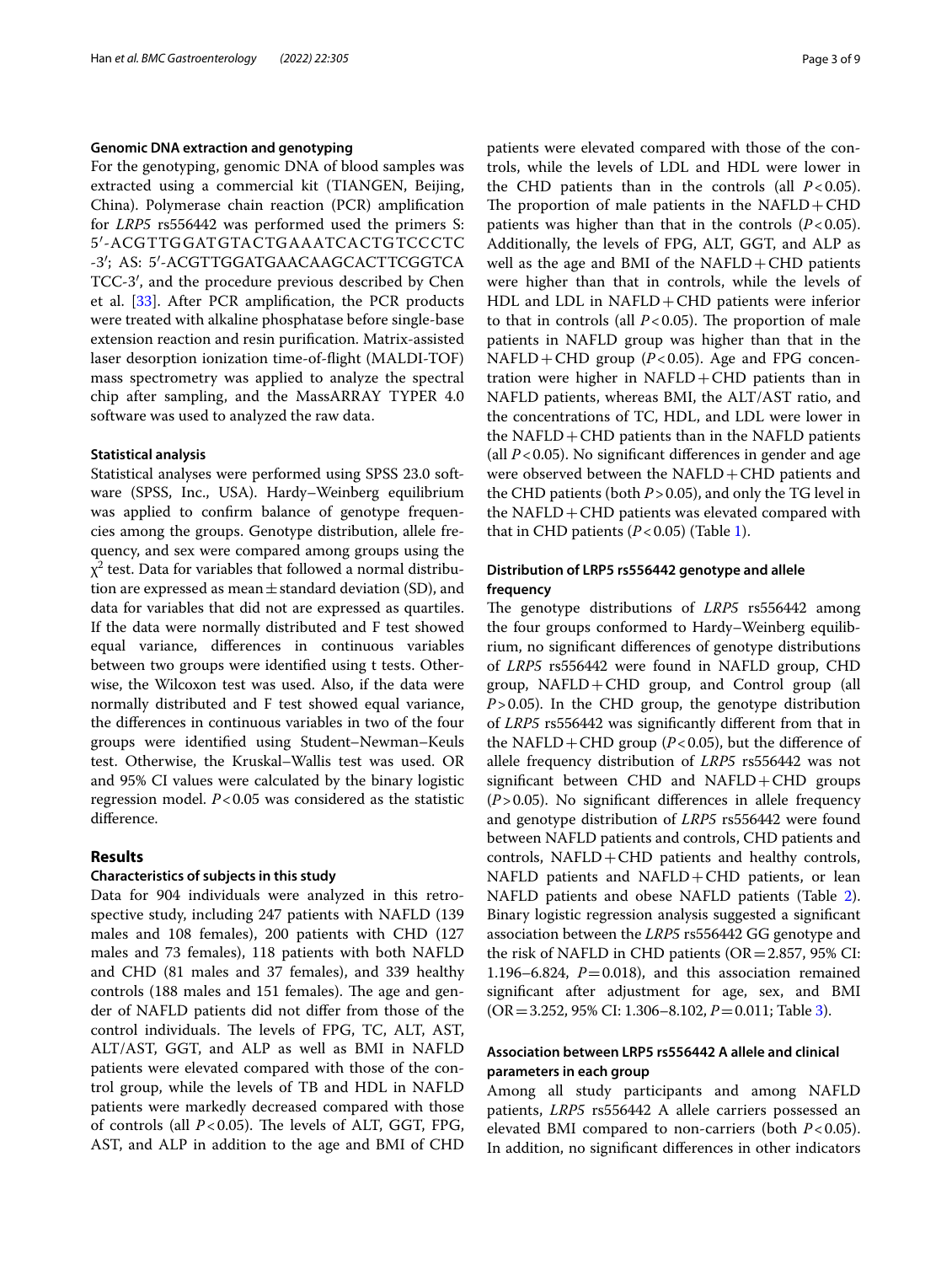#### **Genomic DNA extraction and genotyping**

For the genotyping, genomic DNA of blood samples was extracted using a commercial kit (TIANGEN, Beijing, China). Polymerase chain reaction (PCR) amplifcation for *LRP5* rs556442 was performed used the primers S: 5′-ACGTTGGATGTACTGAAATCACTGTCCCTC -3′; AS: 5′-ACGTTGGATGAACAAGCACTTCGGTCA TCC-3′, and the procedure previous described by Chen et al. [\[33](#page-8-8)]. After PCR amplifcation, the PCR products were treated with alkaline phosphatase before single-base extension reaction and resin purifcation. Matrix-assisted laser desorption ionization time-of-fight (MALDI-TOF) mass spectrometry was applied to analyze the spectral chip after sampling, and the MassARRAY TYPER 4.0 software was used to analyzed the raw data.

#### **Statistical analysis**

Statistical analyses were performed using SPSS 23.0 software (SPSS, Inc., USA). Hardy–Weinberg equilibrium was applied to confrm balance of genotype frequencies among the groups. Genotype distribution, allele frequency, and sex were compared among groups using the  $\chi^2$  test. Data for variables that followed a normal distribution are expressed as mean $\pm$ standard deviation (SD), and data for variables that did not are expressed as quartiles. If the data were normally distributed and F test showed equal variance, diferences in continuous variables between two groups were identifed using t tests. Otherwise, the Wilcoxon test was used. Also, if the data were normally distributed and F test showed equal variance, the diferences in continuous variables in two of the four groups were identifed using Student–Newman–Keuls test. Otherwise, the Kruskal–Wallis test was used. OR and 95% CI values were calculated by the binary logistic regression model. *P*<0.05 was considered as the statistic diference.

#### **Results**

#### **Characteristics of subjects in this study**

Data for 904 individuals were analyzed in this retrospective study, including 247 patients with NAFLD (139 males and 108 females), 200 patients with CHD (127 males and 73 females), 118 patients with both NAFLD and CHD (81 males and 37 females), and 339 healthy controls (188 males and 151 females). The age and gender of NAFLD patients did not difer from those of the control individuals. The levels of FPG, TC, ALT, AST, ALT/AST, GGT, and ALP as well as BMI in NAFLD patients were elevated compared with those of the control group, while the levels of TB and HDL in NAFLD patients were markedly decreased compared with those of controls (all  $P < 0.05$ ). The levels of ALT, GGT, FPG, AST, and ALP in addition to the age and BMI of CHD

patients were elevated compared with those of the controls, while the levels of LDL and HDL were lower in the CHD patients than in the controls (all  $P < 0.05$ ). The proportion of male patients in the  $NAFLD + CHD$ patients was higher than that in the controls  $(P<0.05)$ . Additionally, the levels of FPG, ALT, GGT, and ALP as well as the age and BMI of the  $NAFLD + CHD$  patients were higher than that in controls, while the levels of  $HDL$  and  $LDL$  in  $NAFLD +CHD$  patients were inferior to that in controls (all  $P < 0.05$ ). The proportion of male patients in NAFLD group was higher than that in the NAFLD+CHD group  $(P<0.05)$ . Age and FPG concentration were higher in  $NAFLD + CHD$  patients than in NAFLD patients, whereas BMI, the ALT/AST ratio, and the concentrations of TC, HDL, and LDL were lower in the  $NAFLD + CHD$  patients than in the NAFLD patients (all  $P < 0.05$ ). No significant differences in gender and age were observed between the  $NAFLD + CHD$  patients and the CHD patients (both *P*>0.05), and only the TG level in the  $NAFLD + CHD$  patients was elevated compared with that in CHD patients (*P*<0.05) (Table [1](#page-3-0)).

#### **Distribution of LRP5 rs556442 genotype and allele frequency**

The genotype distributions of *LRP5* rs556442 among the four groups conformed to Hardy–Weinberg equilibrium, no signifcant diferences of genotype distributions of *LRP5* rs556442 were found in NAFLD group, CHD group,  $NAFLD + CHD$  group, and Control group (all *P*>0.05). In the CHD group, the genotype distribution of *LRP5* rs556442 was signifcantly diferent from that in the NAFLD + CHD group ( $P < 0.05$ ), but the difference of allele frequency distribution of *LRP5* rs556442 was not significant between CHD and  $NAFLD + CHD$  groups (*P*>0.05). No signifcant diferences in allele frequency and genotype distribution of *LRP5* rs556442 were found between NAFLD patients and controls, CHD patients and controls,  $NAFLD + CHD$  patients and healthy controls, NAFLD patients and NAFLD+CHD patients, or lean NAFLD patients and obese NAFLD patients (Table [2](#page-3-1)). Binary logistic regression analysis suggested a signifcant association between the *LRP5* rs556442 GG genotype and the risk of NAFLD in CHD patients ( $OR = 2.857$ , 95% CI: 1.196–6.824,  $P=0.018$ ), and this association remained signifcant after adjustment for age, sex, and BMI (OR=3.252, 95% CI: 1.306–8.102, *P*=0.011; Table [3](#page-4-0)).

#### **Association between LRP5 rs556442 A allele and clinical parameters in each group**

Among all study participants and among NAFLD patients, *LRP5* rs556442 A allele carriers possessed an elevated BMI compared to non-carriers (both *P*<0.05). In addition, no signifcant diferences in other indicators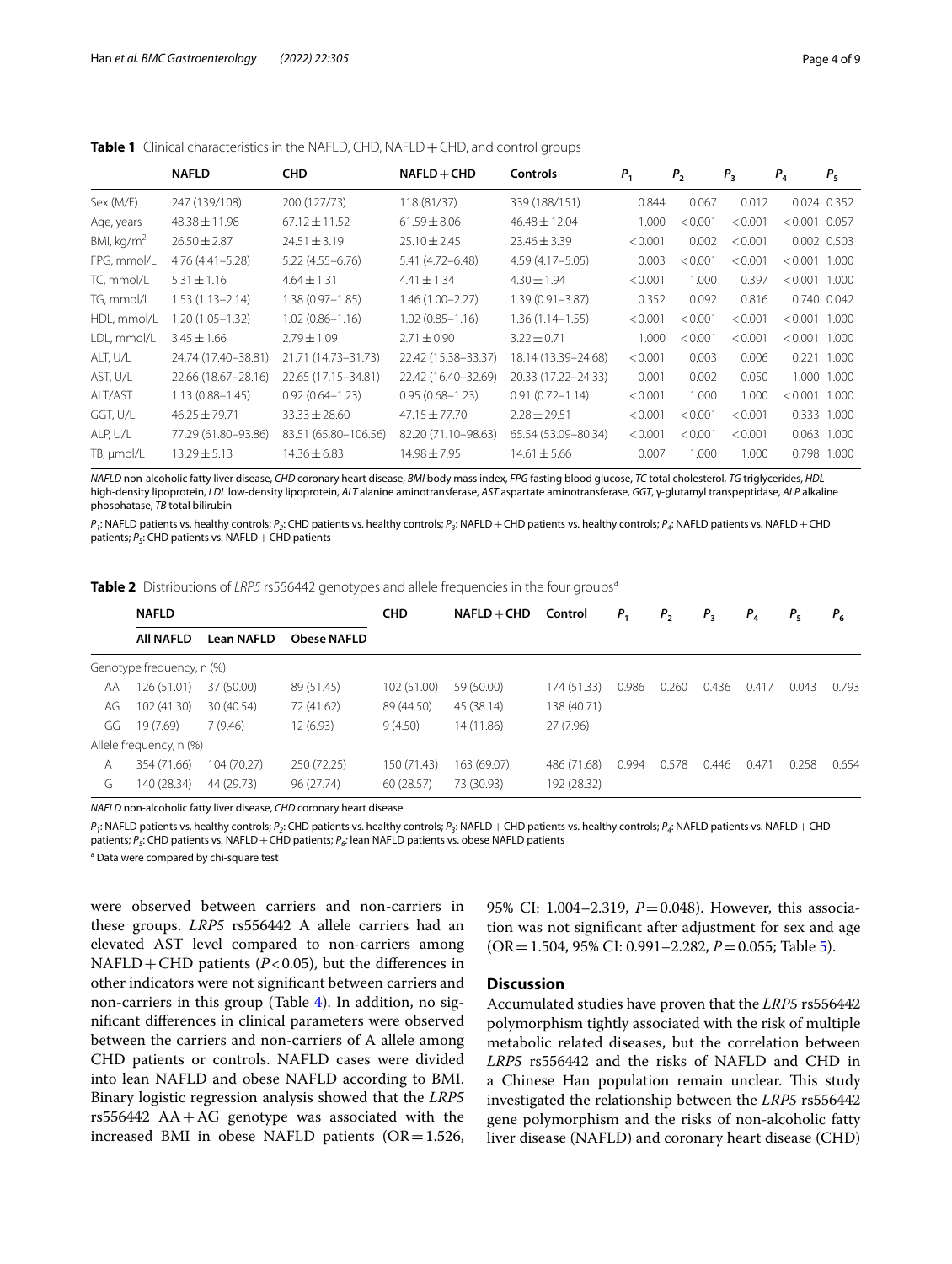|              | <b>NAFLD</b>        | <b>CHD</b>           | $NAFLD + CHD$       | <b>Controls</b>     | $P_1$   | P <sub>2</sub> | $P_{3}$ | $P_{4}$         | $P_5$       |
|--------------|---------------------|----------------------|---------------------|---------------------|---------|----------------|---------|-----------------|-------------|
| Sex (M/F)    | 247 (139/108)       | 200 (127/73)         | 118 (81/37)         | 339 (188/151)       | 0.844   | 0.067          | 0.012   |                 | 0.024 0.352 |
| Age, years   | $48.38 \pm 11.98$   | $67.12 \pm 11.52$    | $61.59 \pm 8.06$    | $46.48 \pm 12.04$   | 1.000   | < 0.001        | < 0.001 | $< 0.001$ 0.057 |             |
| BMI, $kg/m2$ | $26.50 \pm 2.87$    | $24.51 \pm 3.19$     | $25.10 \pm 2.45$    | $23.46 \pm 3.39$    | < 0.001 | 0.002          | < 0.001 |                 | 0.002 0.503 |
| FPG, mmol/L  | $4.76(4.41 - 5.28)$ | $5.22(4.55 - 6.76)$  | 5.41 (4.72-6.48)    | 4.59 (4.17 - 5.05)  | 0.003   | < 0.001        | < 0.001 | < 0.001         | 1.000       |
| TC, mmol/L   | $5.31 \pm 1.16$     | $4.64 \pm 1.31$      | $4.41 \pm 1.34$     | $4.30 \pm 1.94$     | < 0.001 | 1.000          | 0.397   | $< 0.001$ 1.000 |             |
| TG, mmol/L   | $1.53(1.13 - 2.14)$ | $1.38(0.97 - 1.85)$  | $1.46(1.00 - 2.27)$ | $1.39(0.91 - 3.87)$ | 0.352   | 0.092          | 0.816   |                 | 0.740 0.042 |
| HDL, mmol/L  | 1.20 (1.05-1.32)    | $1.02(0.86 - 1.16)$  | $1.02(0.85 - 1.16)$ | $1.36(1.14 - 1.55)$ | < 0.001 | < 0.001        | < 0.001 | < 0.001         | 1.000       |
| LDL, mmol/L  | $3.45 \pm 1.66$     | $2.79 \pm 1.09$      | $2.71 \pm 0.90$     | $3.22 \pm 0.71$     | 1.000   | < 0.001        | < 0.001 | < 0.001         | 1.000       |
| ALT, U/L     | 24.74 (17.40-38.81) | 21.71 (14.73-31.73)  | 22.42 (15.38-33.37) | 18.14 (13.39-24.68) | < 0.001 | 0.003          | 0.006   |                 | 0.221 1.000 |
| AST, U/L     | 22.66 (18.67-28.16) | 22.65 (17.15-34.81)  | 22.42 (16.40-32.69) | 20.33 (17.22-24.33) | 0.001   | 0.002          | 0.050   |                 | 1.000 1.000 |
| ALT/AST      | $1.13(0.88 - 1.45)$ | $0.92(0.64 - 1.23)$  | $0.95(0.68 - 1.23)$ | $0.91(0.72 - 1.14)$ | < 0.001 | 1.000          | 1.000   | < 0.001         | 1.000       |
| GGT, U/L     | $46.25 \pm 79.71$   | $33.33 \pm 28.60$    | $47.15 \pm 77.70$   | $2.28 \pm 29.51$    | < 0.001 | < 0.001        | < 0.001 | 0.333           | 1.000       |
| ALP, U/L     | 77.29 (61.80-93.86) | 83.51 (65.80-106.56) | 82.20 (71.10-98.63) | 65.54 (53.09-80.34) | < 0.001 | < 0.001        | < 0.001 | 0.063           | 1.000       |
| TB, µmol/L   | $13.29 \pm 5.13$    | $14.36 \pm 6.83$     | $14.98 \pm 7.95$    | $14.61 \pm 5.66$    | 0.007   | 1.000          | 1.000   | 0.798           | 1.000       |

<span id="page-3-0"></span>**Table 1** Clinical characteristics in the NAFLD, CHD, NAFLD + CHD, and control groups

*NAFLD* non-alcoholic fatty liver disease, *CHD* coronary heart disease, *BMI* body mass index, *FPG* fasting blood glucose, *TC* total cholesterol, *TG* triglycerides, *HDL* high-density lipoprotein, *LDL* low-density lipoprotein, *ALT* alanine aminotransferase, *AST* aspartate aminotransferase, *GGT*, γ-glutamyl transpeptidase, *ALP* alkaline phosphatase, *TB* total bilirubin

*P1*: NAFLD patients vs. healthy controls; *P2*: CHD patients vs. healthy controls; *P3*: NAFLD+CHD patients vs. healthy controls; *P4*: NAFLD patients vs. NAFLD+CHD patients;  $P_5$ : CHD patients vs. NAFLD + CHD patients

<span id="page-3-1"></span>**Table 2** Distributions of *LRP5* rs556442 genotypes and allele frequencies in the four groups<sup>a</sup>

|    | <b>NAFLD</b>              |                   |             | <b>CHD</b>  | $NAFLD + CHD$ | Control     | Ρ,    | $P_{2}$ | $P_{3}$ | $P_{4}$        | $P_{5}$ | $P_{6}$ |
|----|---------------------------|-------------------|-------------|-------------|---------------|-------------|-------|---------|---------|----------------|---------|---------|
|    | <b>AII NAFLD</b>          | <b>Lean NAFLD</b> | Obese NAFLD |             |               |             |       |         |         |                |         |         |
|    | Genotype frequency, n (%) |                   |             |             |               |             |       |         |         |                |         |         |
| AA | 126 (51.01)               | 37 (50.00)        | 89 (51.45)  | 102 (51.00) | 59 (50.00)    | 174 (51.33) | 0.986 | 0.260   | 0.436   | 0.417          | 0.043   | 0.793   |
| AG | 102 (41.30)               | 30 (40.54)        | 72 (41.62)  | 89 (44.50)  | 45 (38.14)    | 138 (40.71) |       |         |         |                |         |         |
| GG | 19 (7.69)                 | 7(9.46)           | 12 (6.93)   | 9(4.50)     | 14 (11.86)    | 27(7.96)    |       |         |         |                |         |         |
|    | Allele frequency, n (%)   |                   |             |             |               |             |       |         |         |                |         |         |
| A  | 354 (71.66)               | 104 (70.27)       | 250 (72.25) | 150 (71.43) | 163 (69.07)   | 486 (71.68) | 0.994 | 0.578   | 0.446   | $0.47^{\circ}$ | 0.258   | 0.654   |
| G  | 140 (28.34)               | 44 (29.73)        | 96 (27.74)  | 60(28.57)   | 73 (30.93)    | 192 (28.32) |       |         |         |                |         |         |
|    |                           |                   |             |             |               |             |       |         |         |                |         |         |

*NAFLD* non-alcoholic fatty liver disease, *CHD* coronary heart disease

*P*<sub>1</sub>: NAFLD patients vs. healthy controls; *P<sub>3</sub>*: CHD patients vs. healthy controls; *P<sub>3</sub>*: NAFLD patients vs. healthy controls; *P<sub>4</sub>*: NAFLD patients vs. NAFLD + CHD patients;  $P_5$ : CHD patients vs. NAFLD + CHD patients;  $P_6$ : lean NAFLD patients vs. obese NAFLD patients

<sup>a</sup> Data were compared by chi-square test

were observed between carriers and non-carriers in these groups. *LRP5* rs556442 A allele carriers had an elevated AST level compared to non-carriers among  $NAFLD + CHD$  patients ( $P < 0.05$ ), but the differences in other indicators were not signifcant between carriers and non-carriers in this group (Table [4\)](#page-5-0). In addition, no signifcant diferences in clinical parameters were observed between the carriers and non-carriers of A allele among CHD patients or controls. NAFLD cases were divided into lean NAFLD and obese NAFLD according to BMI. Binary logistic regression analysis showed that the *LRP5*  $rs556442$  AA + AG genotype was associated with the increased BMI in obese NAFLD patients  $(OR = 1.526,$  95% CI: 1.004–2.319, *P*=0.048). However, this association was not signifcant after adjustment for sex and age (OR=1.504, 95% CI: 0.991–2.282, *P*=0.055; Table [5\)](#page-5-1).

#### **Discussion**

Accumulated studies have proven that the *LRP5* rs556442 polymorphism tightly associated with the risk of multiple metabolic related diseases, but the correlation between *LRP5* rs556442 and the risks of NAFLD and CHD in a Chinese Han population remain unclear. This study investigated the relationship between the *LRP5* rs556442 gene polymorphism and the risks of non-alcoholic fatty liver disease (NAFLD) and coronary heart disease (CHD)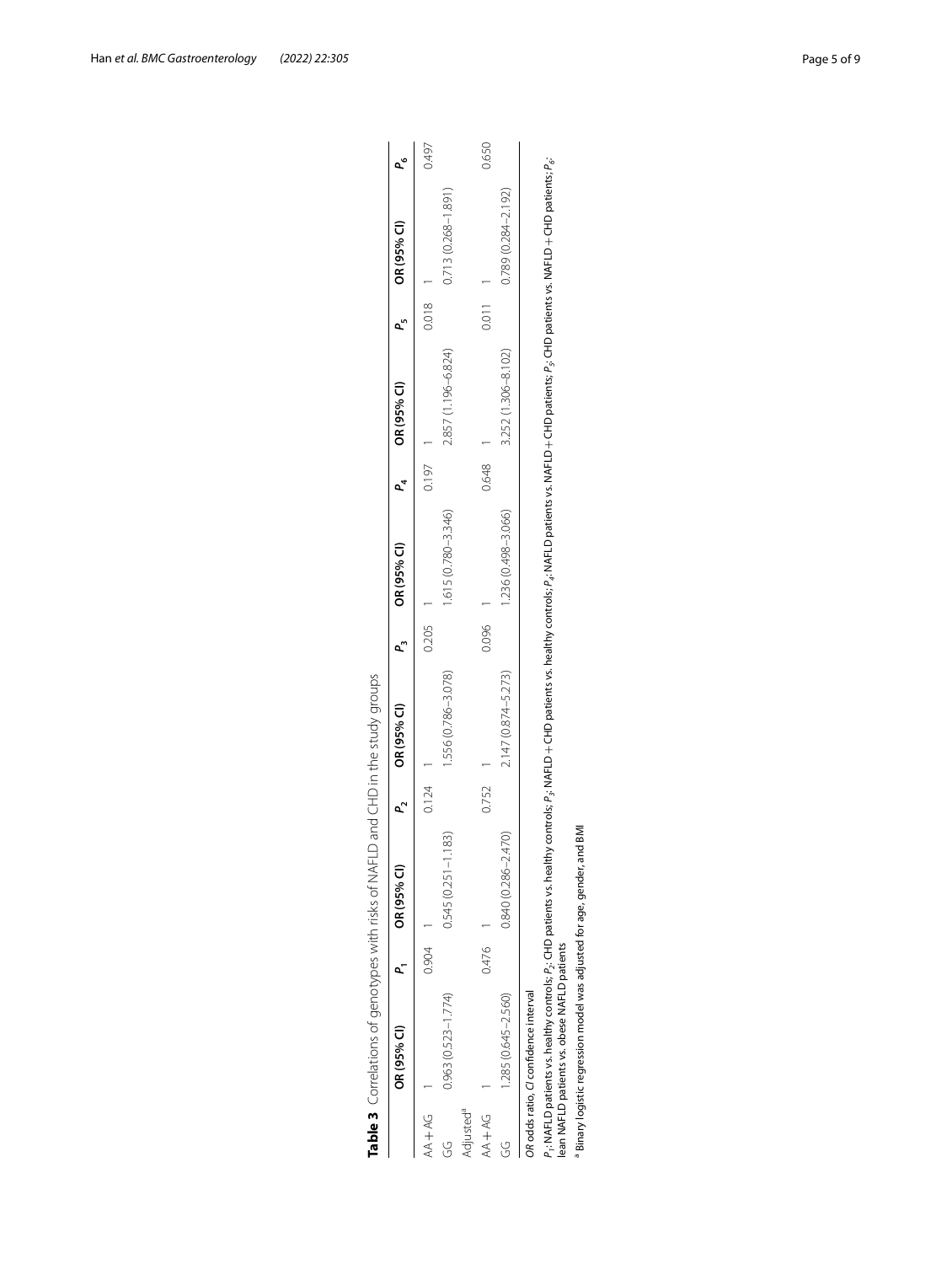|                       | Table 3 Correlations of genotypes with risks of NAFLD and CHD in the study groups                                                                                                                                                                                                          |       |                                |       |                     |       |                        |       |                     |                    |                        |       |
|-----------------------|--------------------------------------------------------------------------------------------------------------------------------------------------------------------------------------------------------------------------------------------------------------------------------------------|-------|--------------------------------|-------|---------------------|-------|------------------------|-------|---------------------|--------------------|------------------------|-------|
|                       | OR (95% CI)                                                                                                                                                                                                                                                                                | p.    | OR (95% CI)                    |       | OR (95% CI)         |       | OR (95% CI)            |       | OR (95% CI)         | L                  | OR (95% CI)            |       |
| $AA + AG$             |                                                                                                                                                                                                                                                                                            | 0.904 |                                | 0.124 |                     | 0.205 |                        | 0.197 |                     | 0.018              |                        | 0.497 |
| Y                     | $0.963(0.523 - 1.774)$                                                                                                                                                                                                                                                                     |       | 1.183)<br>$0.545(0.251 - 1$    |       | 1.556 (0.786-3.078) |       | $1.615(0.780 - 3.346)$ |       | 2.857 (1.196-6.824) |                    | 0.713 (0.268-1.891)    |       |
| Adjusted <sup>a</sup> |                                                                                                                                                                                                                                                                                            |       |                                |       |                     |       |                        |       |                     |                    |                        |       |
| AA+AG                 |                                                                                                                                                                                                                                                                                            | 0.476 |                                | 0.752 |                     | 0.096 |                        | 0.648 |                     | $\overline{0.011}$ |                        | 0.650 |
| G                     | $.285(0.645 - 2.560)$                                                                                                                                                                                                                                                                      |       | <b>(0/rv</b><br>0.840 (0.286-2 |       | 2.147 (0.874-5.273) |       | 1.236 (0.498-3.066)    |       | 3.252 (1.306-8.102) |                    | $0.789(0.284 - 2.192)$ |       |
|                       | OR odds ratio, CI confidence interval                                                                                                                                                                                                                                                      |       |                                |       |                     |       |                        |       |                     |                    |                        |       |
|                       | $P_i$ : NAFLD patients vs. healthy controls; $P_j$ : CHD patients vs. healthy controls; $P_j$ : NAFLD + CHD patients vs. healthy controls; $P_d$ : NAFLD patients vs. NAFLD patients vs. NAFLD patients; $P_i$ : CHD patients; $P_d$ : $\$<br>lean NAFLD patients vs. obese NAFLD patients |       |                                |       |                     |       |                        |       |                     |                    |                        |       |
|                       | Binary logistic regression model was adjusted for age, gender, and BMI                                                                                                                                                                                                                     |       |                                |       |                     |       |                        |       |                     |                    |                        |       |

<span id="page-4-0"></span>

| .<br>.<br>.           |  |
|-----------------------|--|
|                       |  |
| .<br>.<br>.<br>١      |  |
| .<br>.<br>.<br>.<br>j |  |
| ١                     |  |
|                       |  |
|                       |  |
|                       |  |
| $\mathbf{I}$<br>١     |  |
| I                     |  |
| J                     |  |
|                       |  |
|                       |  |
| ;<br>)<br>;<br>l<br>i |  |
|                       |  |
|                       |  |
|                       |  |
|                       |  |
| ١                     |  |
| .<br>.<br>.           |  |
|                       |  |
|                       |  |
| J                     |  |
|                       |  |
|                       |  |
| j                     |  |
| ١.                    |  |
|                       |  |
| $\overline{ }$        |  |
| ١                     |  |
| )<br>)<br>i           |  |
| )<br>-<br>)           |  |
| I                     |  |
|                       |  |
| .<br>1<br>l           |  |
| i                     |  |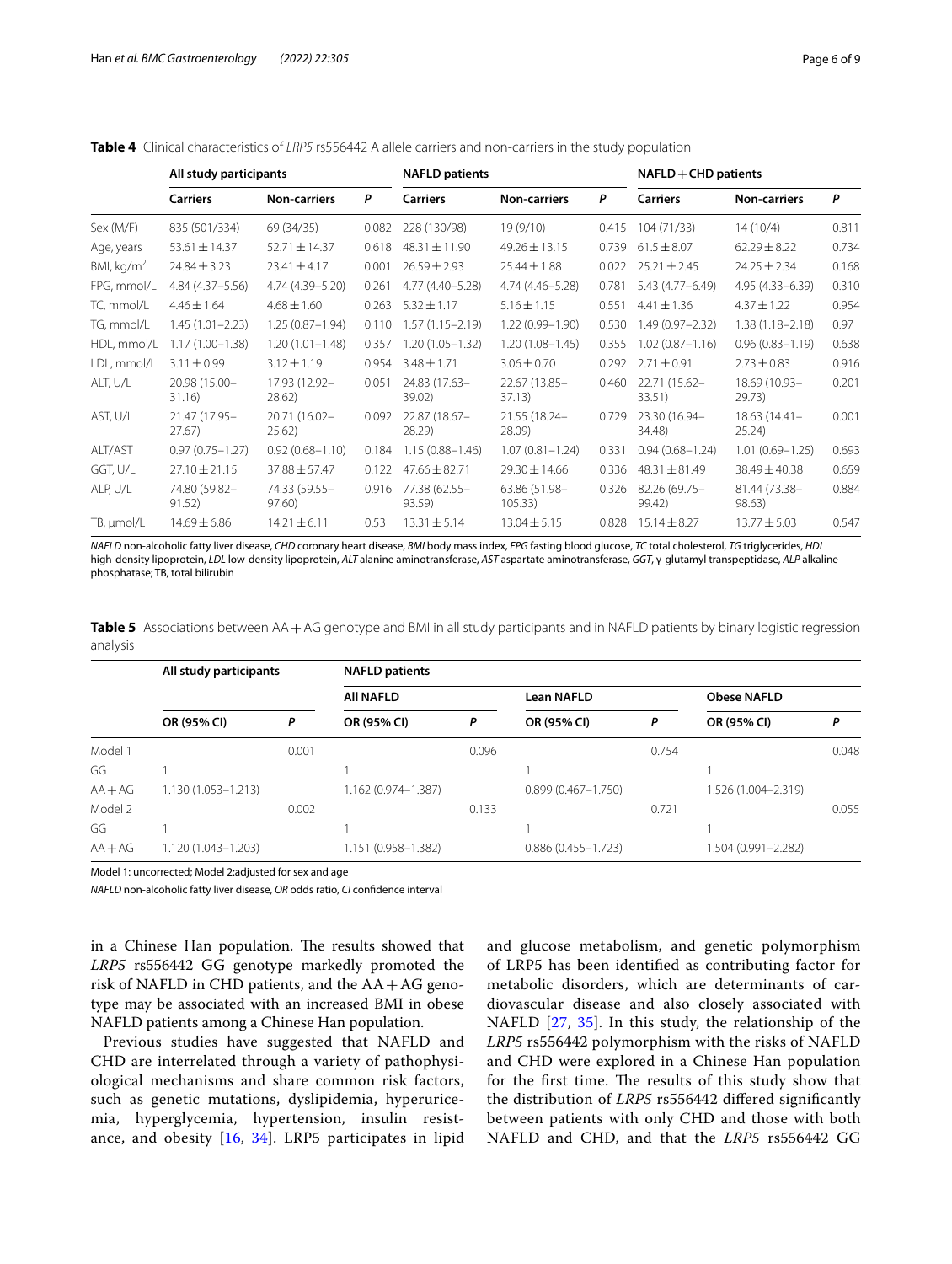<span id="page-5-0"></span>

| Table 4 Clinical characteristics of LRP5 rs556442 A allele carriers and non-carriers in the study population |  |
|--------------------------------------------------------------------------------------------------------------|--|
|--------------------------------------------------------------------------------------------------------------|--|

|              | All study participants  |                         |       | <b>NAFLD patients</b>   |                          |       | $NAFLD + CHD$ patients  |                           |       |  |
|--------------|-------------------------|-------------------------|-------|-------------------------|--------------------------|-------|-------------------------|---------------------------|-------|--|
|              | <b>Carriers</b>         | <b>Non-carriers</b>     | P     | <b>Carriers</b>         | <b>Non-carriers</b>      | P     | <b>Carriers</b>         | <b>Non-carriers</b>       | P     |  |
| Sex (M/F)    | 835 (501/334)           | 69 (34/35)              | 0.082 | 228 (130/98)            | 19 (9/10)                | 0.415 | 104 (71/33)             | 14(10/4)                  | 0.811 |  |
| Age, years   | $53.61 \pm 14.37$       | 52.71 ± 14.37           | 0.618 | $48.31 \pm 11.90$       | $49.26 \pm 13.15$        | 0.739 | $61.5 \pm 8.07$         | $62.29 \pm 8.22$          | 0.734 |  |
| BMI, $kg/m2$ | $24.84 \pm 3.23$        | $23.41 \pm 4.17$        | 0.001 | $26.59 \pm 2.93$        | $25.44 \pm 1.88$         | 0.022 | $25.21 \pm 2.45$        | $24.25 \pm 2.34$          | 0.168 |  |
| FPG, mmol/L  | 4.84 (4.37-5.56)        | 4.74 (4.39-5.20)        | 0.261 | 4.77 (4.40-5.28)        | 4.74 (4.46-5.28)         | 0.781 | 5.43 (4.77 - 6.49)      | 4.95 (4.33 - 6.39)        | 0.310 |  |
| TC, mmol/L   | $4.46 \pm 1.64$         | $4.68 \pm 1.60$         | 0.263 | $5.32 \pm 1.17$         | $5.16 \pm 1.15$          | 0.551 | $4.41 \pm 1.36$         | $4.37 \pm 1.22$           | 0.954 |  |
| TG, mmol/L   | $1.45(1.01 - 2.23)$     | $1.25(0.87 - 1.94)$     | 0.110 | $1.57(1.15 - 2.19)$     | $1.22(0.99 - 1.90)$      | 0.530 | $1.49(0.97 - 2.32)$     | $1.38(1.18 - 2.18)$       | 0.97  |  |
| HDL, mmol/L  | $1.17(1.00 - 1.38)$     | $1.20(1.01 - 1.48)$     | 0.357 | 1.20 (1.05-1.32)        | $1.20(1.08 - 1.45)$      | 0.355 | $1.02(0.87 - 1.16)$     | $0.96(0.83 - 1.19)$       | 0.638 |  |
| LDL, mmol/L  | $3.11 \pm 0.99$         | $3.12 \pm 1.19$         | 0.954 | $3.48 \pm 1.71$         | $3.06 \pm 0.70$          | 0.292 | $2.71 \pm 0.91$         | $2.73 \pm 0.83$           | 0.916 |  |
| ALT, U/L     | 20.98 (15.00-<br>31.16) | 17.93 (12.92-<br>28.62  | 0.051 | 24.83 (17.63-<br>39.02) | 22.67 (13.85-<br>37.13)  | 0.460 | 22.71 (15.62-<br>33.51) | 18.69 (10.93-<br>29.73)   | 0.201 |  |
| AST, U/L     | 21.47 (17.95-<br>27.67  | 20.71 (16.02-<br>25.62  | 0.092 | 22.87 (18.67-<br>28.29) | 21.55 (18.24-<br>28.09)  | 0.729 | 23.30 (16.94-<br>34.48) | $18.63(14.41 -$<br>25.24) | 0.001 |  |
| ALT/AST      | $0.97(0.75 - 1.27)$     | $0.92(0.68 - 1.10)$     | 0.184 | $1.15(0.88 - 1.46)$     | $1.07(0.81 - 1.24)$      | 0.331 | $0.94(0.68 - 1.24)$     | $1.01(0.69 - 1.25)$       | 0.693 |  |
| GGT, U/L     | $27.10 \pm 21.15$       | $37.88 \pm 57.47$       | 0.122 | $47.66 \pm 82.71$       | 29.30 ± 14.66            | 0.336 | $48.31 \pm 81.49$       | 38.49 ± 40.38             | 0.659 |  |
| ALP, U/L     | 74.80 (59.82-<br>91.52) | 74.33 (59.55-<br>97.60) | 0.916 | 77.38 (62.55-<br>93.59) | 63.86 (51.98-<br>105.33) | 0.326 | 82.26 (69.75-<br>99.42) | 81.44 (73.38-<br>98.63)   | 0.884 |  |
| TB, µmol/L   | $14.69 \pm 6.86$        | $14.21 \pm 6.11$        | 0.53  | $13.31 \pm 5.14$        | $13.04 \pm 5.15$         | 0.828 | $15.14 \pm 8.27$        | $13.77 \pm 5.03$          | 0.547 |  |

*NAFLD* non-alcoholic fatty liver disease, *CHD* coronary heart disease, *BMI* body mass index, *FPG* fasting blood glucose, *TC* total cholesterol, *TG* triglycerides, *HDL* high-density lipoprotein, *LDL* low-density lipoprotein, *ALT* alanine aminotransferase, *AST* aspartate aminotransferase, *GGT*, γ-glutamyl transpeptidase, *ALP* alkaline phosphatase; TB, total bilirubin

<span id="page-5-1"></span>**Table 5** Associations between AA+AG genotype and BMI in all study participants and in NAFLD patients by binary logistic regression analysis

|           | All study participants |       | <b>NAFLD patients</b> |       |                        |       |                     |       |
|-----------|------------------------|-------|-----------------------|-------|------------------------|-------|---------------------|-------|
|           |                        |       | <b>All NAFLD</b>      |       | Lean NAFLD             |       | <b>Obese NAFLD</b>  |       |
|           | OR (95% CI)            | Ρ     | OR (95% CI)           | P     | OR (95% CI)            | P     | OR (95% CI)         | Ρ     |
| Model 1   |                        | 0.001 |                       | 0.096 |                        | 0.754 |                     | 0.048 |
| GG        |                        |       |                       |       |                        |       |                     |       |
| $AA + AG$ | $1.130(1.053 - 1.213)$ |       | 1.162 (0.974-1.387)   |       | $0.899(0.467 - 1.750)$ |       | 1.526 (1.004-2.319) |       |
| Model 2   |                        | 0.002 |                       | 0.133 |                        | 0.721 |                     | 0.055 |
| GG        |                        |       |                       |       |                        |       |                     |       |
| $AA + AG$ | 1.120 (1.043-1.203)    |       | 1.151 (0.958-1.382)   |       | $0.886(0.455 - 1.723)$ |       | 1.504 (0.991-2.282) |       |

Model 1: uncorrected; Model 2:adjusted for sex and age

*NAFLD* non-alcoholic fatty liver disease, *OR* odds ratio, *CI* confdence interval

in a Chinese Han population. The results showed that *LRP5* rs556442 GG genotype markedly promoted the risk of NAFLD in CHD patients, and the  $AA + AG$  genotype may be associated with an increased BMI in obese NAFLD patients among a Chinese Han population.

Previous studies have suggested that NAFLD and CHD are interrelated through a variety of pathophysiological mechanisms and share common risk factors, such as genetic mutations, dyslipidemia, hyperuricemia, hyperglycemia, hypertension, insulin resistance, and obesity [[16,](#page-7-15) [34\]](#page-8-9). LRP5 participates in lipid and glucose metabolism, and genetic polymorphism of LRP5 has been identifed as contributing factor for metabolic disorders, which are determinants of cardiovascular disease and also closely associated with NAFLD [[27](#page-8-2), [35](#page-8-10)]. In this study, the relationship of the *LRP5* rs556442 polymorphism with the risks of NAFLD and CHD were explored in a Chinese Han population for the first time. The results of this study show that the distribution of *LRP5* rs556442 difered signifcantly between patients with only CHD and those with both NAFLD and CHD, and that the *LRP5* rs556442 GG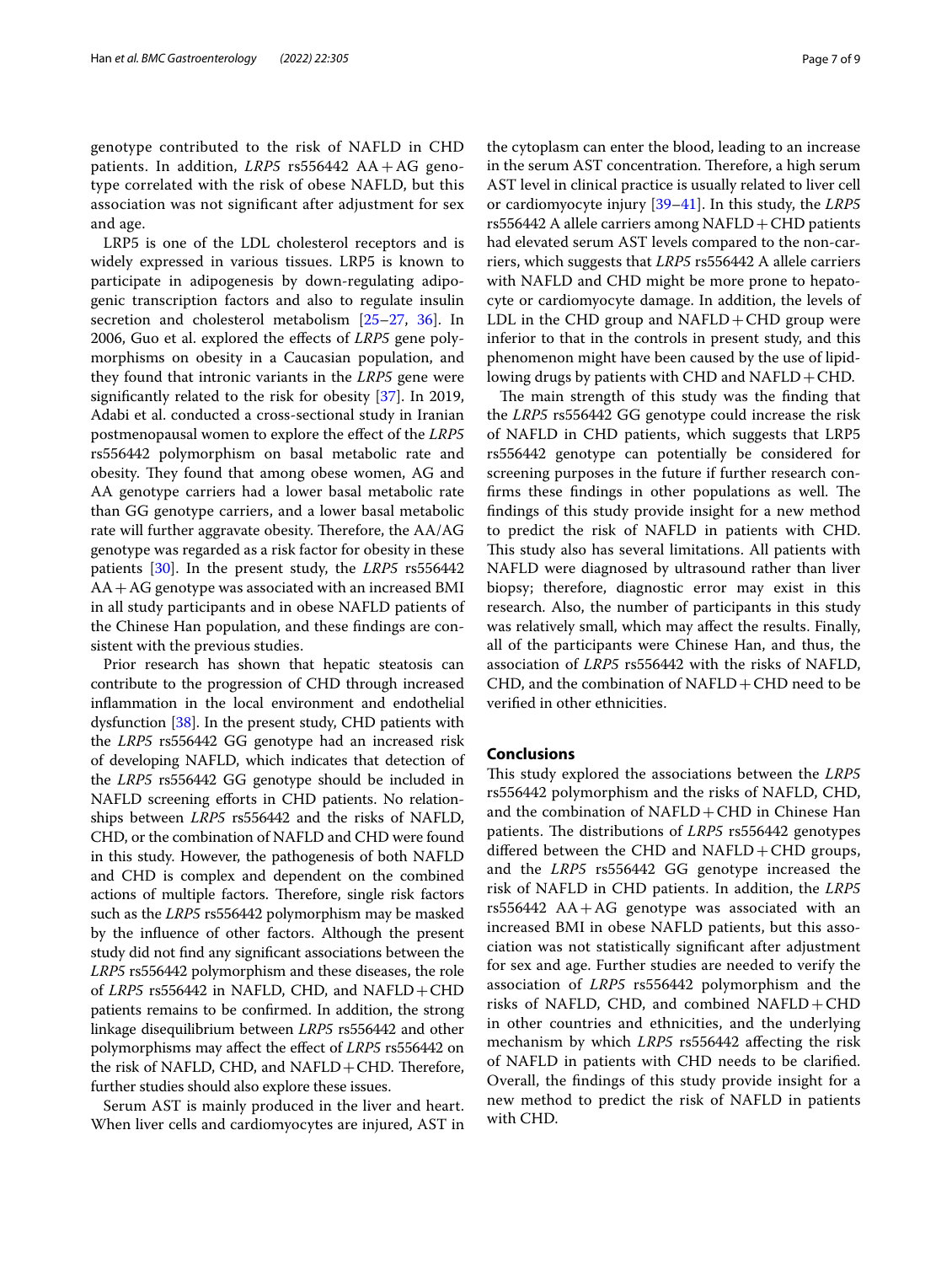genotype contributed to the risk of NAFLD in CHD patients. In addition, *LRP5* rs556442 AA+AG genotype correlated with the risk of obese NAFLD, but this association was not signifcant after adjustment for sex and age.

LRP5 is one of the LDL cholesterol receptors and is widely expressed in various tissues. LRP5 is known to participate in adipogenesis by down-regulating adipogenic transcription factors and also to regulate insulin secretion and cholesterol metabolism [[25–](#page-8-0)[27](#page-8-2), [36\]](#page-8-11). In 2006, Guo et al. explored the efects of *LRP5* gene polymorphisms on obesity in a Caucasian population, and they found that intronic variants in the *LRP5* gene were signifcantly related to the risk for obesity [\[37\]](#page-8-12). In 2019, Adabi et al. conducted a cross-sectional study in Iranian postmenopausal women to explore the efect of the *LRP5* rs556442 polymorphism on basal metabolic rate and obesity. They found that among obese women, AG and AA genotype carriers had a lower basal metabolic rate than GG genotype carriers, and a lower basal metabolic rate will further aggravate obesity. Therefore, the AA/AG genotype was regarded as a risk factor for obesity in these patients [[30\]](#page-8-5). In the present study, the *LRP5* rs556442 AA+AG genotype was associated with an increased BMI in all study participants and in obese NAFLD patients of the Chinese Han population, and these fndings are consistent with the previous studies.

Prior research has shown that hepatic steatosis can contribute to the progression of CHD through increased infammation in the local environment and endothelial dysfunction [\[38\]](#page-8-13). In the present study, CHD patients with the *LRP5* rs556442 GG genotype had an increased risk of developing NAFLD, which indicates that detection of the *LRP5* rs556442 GG genotype should be included in NAFLD screening efforts in CHD patients. No relationships between *LRP5* rs556442 and the risks of NAFLD, CHD, or the combination of NAFLD and CHD were found in this study. However, the pathogenesis of both NAFLD and CHD is complex and dependent on the combined actions of multiple factors. Therefore, single risk factors such as the *LRP5* rs556442 polymorphism may be masked by the infuence of other factors. Although the present study did not fnd any signifcant associations between the *LRP5* rs556442 polymorphism and these diseases, the role of *LRP5* rs556442 in NAFLD, CHD, and NAFLD+CHD patients remains to be confrmed. In addition, the strong linkage disequilibrium between *LRP5* rs556442 and other polymorphisms may afect the efect of *LRP5* rs556442 on the risk of NAFLD, CHD, and NAFLD + CHD. Therefore, further studies should also explore these issues.

Serum AST is mainly produced in the liver and heart. When liver cells and cardiomyocytes are injured, AST in the cytoplasm can enter the blood, leading to an increase in the serum AST concentration. Therefore, a high serum AST level in clinical practice is usually related to liver cell or cardiomyocyte injury [\[39](#page-8-14)[–41](#page-8-15)]. In this study, the *LRP5* rs556442 A allele carriers among  $NAFLD +CHD$  patients had elevated serum AST levels compared to the non-carriers, which suggests that *LRP5* rs556442 A allele carriers with NAFLD and CHD might be more prone to hepatocyte or cardiomyocyte damage. In addition, the levels of LDL in the CHD group and  $NAFLD + CHD$  group were inferior to that in the controls in present study, and this phenomenon might have been caused by the use of lipidlowing drugs by patients with CHD and  $NAFLD + CHD$ .

The main strength of this study was the finding that the *LRP5* rs556442 GG genotype could increase the risk of NAFLD in CHD patients, which suggests that LRP5 rs556442 genotype can potentially be considered for screening purposes in the future if further research confirms these findings in other populations as well. The fndings of this study provide insight for a new method to predict the risk of NAFLD in patients with CHD. This study also has several limitations. All patients with NAFLD were diagnosed by ultrasound rather than liver biopsy; therefore, diagnostic error may exist in this research. Also, the number of participants in this study was relatively small, which may afect the results. Finally, all of the participants were Chinese Han, and thus, the association of *LRP5* rs556442 with the risks of NAFLD, CHD, and the combination of  $NAFLD + CHD$  need to be verifed in other ethnicities.

#### **Conclusions**

This study explored the associations between the *LRP5* rs556442 polymorphism and the risks of NAFLD, CHD, and the combination of  $NAFLD + CHD$  in Chinese Han patients. The distributions of *LRP5* rs556442 genotypes differed between the CHD and  $NAFLD + CHD$  groups, and the *LRP5* rs556442 GG genotype increased the risk of NAFLD in CHD patients. In addition, the *LRP5* rs556442  $AA + AG$  genotype was associated with an increased BMI in obese NAFLD patients, but this association was not statistically signifcant after adjustment for sex and age. Further studies are needed to verify the association of *LRP5* rs556442 polymorphism and the risks of NAFLD, CHD, and combined  $NAFLD + CHD$ in other countries and ethnicities, and the underlying mechanism by which *LRP5* rs556442 afecting the risk of NAFLD in patients with CHD needs to be clarifed. Overall, the fndings of this study provide insight for a new method to predict the risk of NAFLD in patients with CHD.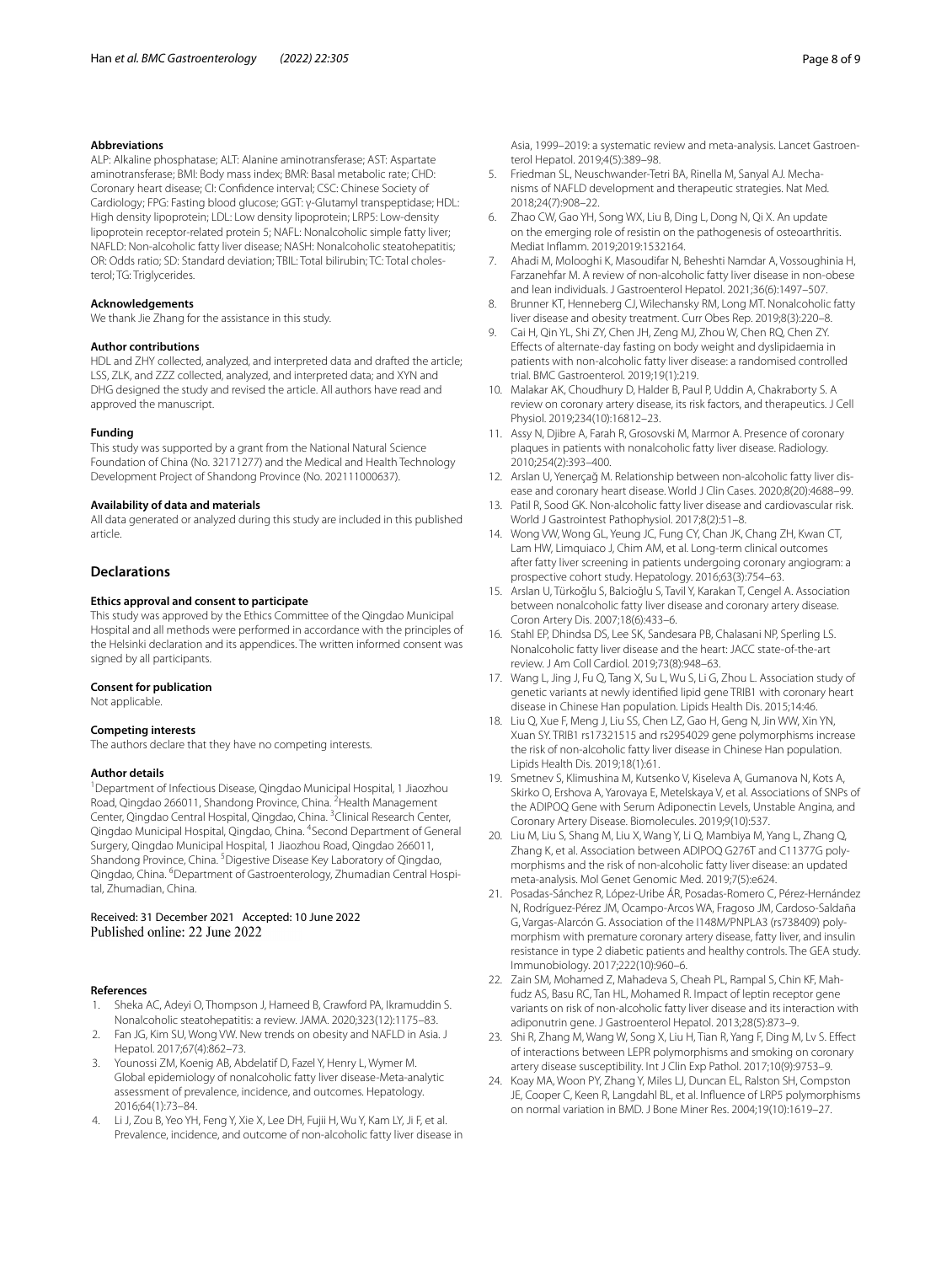#### **Abbreviations**

ALP: Alkaline phosphatase; ALT: Alanine aminotransferase; AST: Aspartate aminotransferase; BMI: Body mass index; BMR: Basal metabolic rate; CHD: Coronary heart disease; CI: Confdence interval; CSC: Chinese Society of Cardiology; FPG: Fasting blood glucose; GGT: γ-Glutamyl transpeptidase; HDL: High density lipoprotein; LDL: Low density lipoprotein; LRP5: Low-density lipoprotein receptor-related protein 5; NAFL: Nonalcoholic simple fatty liver; NAFLD: Non-alcoholic fatty liver disease; NASH: Nonalcoholic steatohepatitis; OR: Odds ratio; SD: Standard deviation; TBIL: Total bilirubin; TC: Total cholesterol; TG: Triglycerides.

#### **Acknowledgements**

We thank Jie Zhang for the assistance in this study.

#### **Author contributions**

HDL and ZHY collected, analyzed, and interpreted data and drafted the article; LSS, ZLK, and ZZZ collected, analyzed, and interpreted data; and XYN and DHG designed the study and revised the article. All authors have read and approved the manuscript.

#### **Funding**

This study was supported by a grant from the National Natural Science Foundation of China (No. 32171277) and the Medical and Health Technology Development Project of Shandong Province (No. 202111000637).

#### **Availability of data and materials**

All data generated or analyzed during this study are included in this published article.

#### **Declarations**

#### **Ethics approval and consent to participate**

This study was approved by the Ethics Committee of the Qingdao Municipal Hospital and all methods were performed in accordance with the principles of the Helsinki declaration and its appendices. The written informed consent was signed by all participants.

#### **Consent for publication**

Not applicable.

#### **Competing interests**

The authors declare that they have no competing interests.

#### **Author details**

<sup>1</sup> Department of Infectious Disease, Qingdao Municipal Hospital, 1 Jiaozhou Road, Qingdao 266011, Shandong Province, China. <sup>2</sup>Health Management Center, Qingdao Central Hospital, Qingdao, China. <sup>3</sup>Clinical Research Center, Qingdao Municipal Hospital, Qingdao, China. <sup>4</sup>Second Department of General Surgery, Qingdao Municipal Hospital, 1 Jiaozhou Road, Qingdao 266011, Shandong Province, China. <sup>5</sup> Digestive Disease Key Laboratory of Qingdao, Qingdao, China. <sup>6</sup>Department of Gastroenterology, Zhumadian Central Hospital, Zhumadian, China.

## Received: 31 December 2021 Accepted: 10 June 2022

#### **References**

- <span id="page-7-0"></span>Sheka AC, Adeyi O, Thompson J, Hameed B, Crawford PA, Ikramuddin S. Nonalcoholic steatohepatitis: a review. JAMA. 2020;323(12):1175–83.
- <span id="page-7-1"></span>2. Fan JG, Kim SU, Wong VW. New trends on obesity and NAFLD in Asia. J Hepatol. 2017;67(4):862–73.
- <span id="page-7-2"></span>3. Younossi ZM, Koenig AB, Abdelatif D, Fazel Y, Henry L, Wymer M. Global epidemiology of nonalcoholic fatty liver disease-Meta-analytic assessment of prevalence, incidence, and outcomes. Hepatology. 2016;64(1):73–84.
- <span id="page-7-3"></span>Li J, Zou B, Yeo YH, Feng Y, Xie X, Lee DH, Fujii H, Wu Y, Kam LY, Ji F, et al. Prevalence, incidence, and outcome of non-alcoholic fatty liver disease in

Asia, 1999–2019: a systematic review and meta-analysis. Lancet Gastroenterol Hepatol. 2019;4(5):389–98.

- <span id="page-7-4"></span>5. Friedman SL, Neuschwander-Tetri BA, Rinella M, Sanyal AJ. Mechanisms of NAFLD development and therapeutic strategies. Nat Med. 2018;24(7):908–22.
- <span id="page-7-5"></span>6. Zhao CW, Gao YH, Song WX, Liu B, Ding L, Dong N, Qi X. An update on the emerging role of resistin on the pathogenesis of osteoarthritis. Mediat Infamm. 2019;2019:1532164.
- <span id="page-7-6"></span>7. Ahadi M, Molooghi K, Masoudifar N, Beheshti Namdar A, Vossoughinia H, Farzanehfar M. A review of non-alcoholic fatty liver disease in non-obese and lean individuals. J Gastroenterol Hepatol. 2021;36(6):1497–507.
- <span id="page-7-7"></span>8. Brunner KT, Henneberg CJ, Wilechansky RM, Long MT. Nonalcoholic fatty liver disease and obesity treatment. Curr Obes Rep. 2019;8(3):220–8.
- <span id="page-7-8"></span>9. Cai H, Qin YL, Shi ZY, Chen JH, Zeng MJ, Zhou W, Chen RQ, Chen ZY. Efects of alternate-day fasting on body weight and dyslipidaemia in patients with non-alcoholic fatty liver disease: a randomised controlled trial. BMC Gastroenterol. 2019;19(1):219.
- <span id="page-7-9"></span>10. Malakar AK, Choudhury D, Halder B, Paul P, Uddin A, Chakraborty S. A review on coronary artery disease, its risk factors, and therapeutics. J Cell Physiol. 2019;234(10):16812–23.
- <span id="page-7-10"></span>11. Assy N, Djibre A, Farah R, Grosovski M, Marmor A. Presence of coronary plaques in patients with nonalcoholic fatty liver disease. Radiology. 2010;254(2):393–400.
- <span id="page-7-11"></span>12. Arslan U, Yenerçağ M. Relationship between non-alcoholic fatty liver disease and coronary heart disease. World J Clin Cases. 2020;8(20):4688–99.
- <span id="page-7-12"></span>13. Patil R, Sood GK. Non-alcoholic fatty liver disease and cardiovascular risk. World J Gastrointest Pathophysiol. 2017;8(2):51–8.
- <span id="page-7-13"></span>14. Wong VW, Wong GL, Yeung JC, Fung CY, Chan JK, Chang ZH, Kwan CT, Lam HW, Limquiaco J, Chim AM, et al. Long-term clinical outcomes after fatty liver screening in patients undergoing coronary angiogram: a prospective cohort study. Hepatology. 2016;63(3):754–63.
- <span id="page-7-14"></span>15. Arslan U, Türkoğlu S, Balcioğlu S, Tavil Y, Karakan T, Cengel A. Association between nonalcoholic fatty liver disease and coronary artery disease. Coron Artery Dis. 2007;18(6):433–6.
- <span id="page-7-15"></span>16. Stahl EP, Dhindsa DS, Lee SK, Sandesara PB, Chalasani NP, Sperling LS. Nonalcoholic fatty liver disease and the heart: JACC state-of-the-art review. J Am Coll Cardiol. 2019;73(8):948–63.
- <span id="page-7-16"></span>17. Wang L, Jing J, Fu Q, Tang X, Su L, Wu S, Li G, Zhou L. Association study of genetic variants at newly identifed lipid gene TRIB1 with coronary heart disease in Chinese Han population. Lipids Health Dis. 2015;14:46.
- 18. Liu Q, Xue F, Meng J, Liu SS, Chen LZ, Gao H, Geng N, Jin WW, Xin YN, Xuan SY. TRIB1 rs17321515 and rs2954029 gene polymorphisms increase the risk of non-alcoholic fatty liver disease in Chinese Han population. Lipids Health Dis. 2019;18(1):61.
- 19. Smetnev S, Klimushina M, Kutsenko V, Kiseleva A, Gumanova N, Kots A, Skirko O, Ershova A, Yarovaya E, Metelskaya V, et al. Associations of SNPs of the ADIPOQ Gene with Serum Adiponectin Levels, Unstable Angina, and Coronary Artery Disease. Biomolecules. 2019;9(10):537.
- 20. Liu M, Liu S, Shang M, Liu X, Wang Y, Li Q, Mambiya M, Yang L, Zhang Q, Zhang K, et al. Association between ADIPOQ G276T and C11377G polymorphisms and the risk of non-alcoholic fatty liver disease: an updated meta-analysis. Mol Genet Genomic Med. 2019;7(5):e624.
- 21. Posadas-Sánchez R, López-Uribe ÁR, Posadas-Romero C, Pérez-Hernández N, Rodríguez-Pérez JM, Ocampo-Arcos WA, Fragoso JM, Cardoso-Saldaña G, Vargas-Alarcón G. Association of the I148M/PNPLA3 (rs738409) polymorphism with premature coronary artery disease, fatty liver, and insulin resistance in type 2 diabetic patients and healthy controls. The GEA study. Immunobiology. 2017;222(10):960–6.
- 22. Zain SM, Mohamed Z, Mahadeva S, Cheah PL, Rampal S, Chin KF, Mahfudz AS, Basu RC, Tan HL, Mohamed R. Impact of leptin receptor gene variants on risk of non-alcoholic fatty liver disease and its interaction with adiponutrin gene. J Gastroenterol Hepatol. 2013;28(5):873–9.
- <span id="page-7-17"></span>23. Shi R, Zhang M, Wang W, Song X, Liu H, Tian R, Yang F, Ding M, Lv S. Efect of interactions between LEPR polymorphisms and smoking on coronary artery disease susceptibility. Int J Clin Exp Pathol. 2017;10(9):9753–9.
- <span id="page-7-18"></span>24. Koay MA, Woon PY, Zhang Y, Miles LJ, Duncan EL, Ralston SH, Compston JE, Cooper C, Keen R, Langdahl BL, et al. Infuence of LRP5 polymorphisms on normal variation in BMD. J Bone Miner Res. 2004;19(10):1619–27.